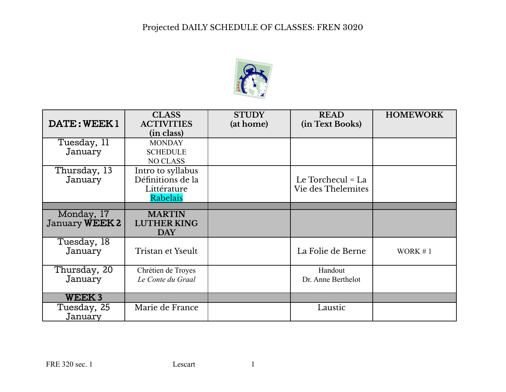

| DATE: WEEK1                         | <b>CLASS</b><br><b>ACTIVITIES</b><br>(in class)                   | <b>STUDY</b><br>(at home) | <b>READ</b><br>(in Text Books)          | <b>HOMEWORK</b> |
|-------------------------------------|-------------------------------------------------------------------|---------------------------|-----------------------------------------|-----------------|
| Tuesday, 11<br>January              | <b>MONDAY</b><br><b>SCHEDULE</b><br><b>NO CLASS</b>               |                           |                                         |                 |
| Thursday, 13<br>January             | Intro to syllabus<br>Définitions de la<br>Littérature<br>Rabelais |                           | Le Torchecul = La<br>Vie des Thelemites |                 |
|                                     |                                                                   |                           |                                         |                 |
| Monday, 17<br>January <b>WEEK 2</b> | <b>MARTIN</b><br><b>LUTHER KING</b><br><b>DAY</b>                 |                           |                                         |                 |
| Tuesday, 18<br>January              | Tristan et Yseult                                                 |                           | La Folie de Berne                       | WORK $#1$       |
| Thursday, 20<br>January             | Chrétien de Troyes<br>Le Conte du Graal                           |                           | Handout<br>Dr. Anne Berthelot           |                 |
| <b>WEEK3</b>                        |                                                                   |                           |                                         |                 |
| Tuesday, 25<br>January              | Marie de France                                                   |                           | Laustic                                 |                 |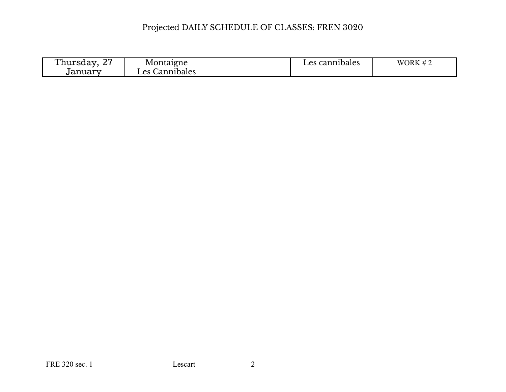| $\sim$ $\sim$<br>rhursdav<br><u>_</u> | Montaigne                         | cannibales<br>Les | WORK $#$<br>$\overline{\phantom{a}}$ |
|---------------------------------------|-----------------------------------|-------------------|--------------------------------------|
| uanuary                               | Cannibales<br>$\alpha$<br>: دب سه |                   |                                      |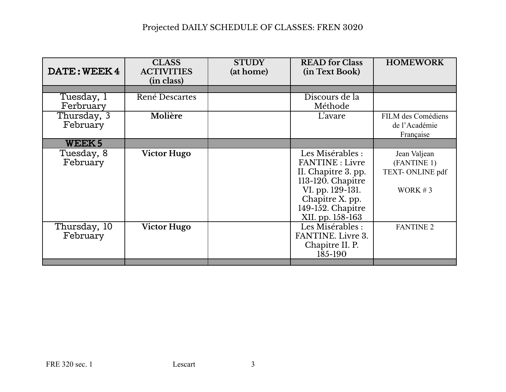| DATE: WEEK4              | <b>CLASS</b><br><b>ACTIVITIES</b><br>(in class) | <b>STUDY</b><br>(at home) | <b>READ</b> for Class<br>(in Text Book)                                                                                                                                | <b>HOMEWORK</b>                                           |
|--------------------------|-------------------------------------------------|---------------------------|------------------------------------------------------------------------------------------------------------------------------------------------------------------------|-----------------------------------------------------------|
|                          |                                                 |                           |                                                                                                                                                                        |                                                           |
| Tuesday, 1<br>Ferbruary  | René Descartes                                  |                           | Discours de la<br>Méthode                                                                                                                                              |                                                           |
| Thursday, 3<br>February  | Molière                                         |                           | L'avare                                                                                                                                                                | FILM des Comédiens<br>de l'Académie<br>Française          |
| WEEK <sub>5</sub>        |                                                 |                           |                                                                                                                                                                        |                                                           |
| Tuesday, 8<br>February   | <b>Victor Hugo</b>                              |                           | Les Misérables :<br><b>FANTINE</b> : Livre<br>II. Chapitre 3. pp.<br>113-120. Chapitre<br>VI. pp. 129-131.<br>Chapitre X. pp.<br>149-152. Chapitre<br>XII. pp. 158-163 | Jean Valjean<br>(FANTINE 1)<br>TEXT-ONLINE pdf<br>WORK #3 |
| Thursday, 10<br>February | <b>Victor Hugo</b>                              |                           | Les Misérables :<br>FANTINE. Livre 3.<br>Chapitre II. P.<br>185-190                                                                                                    | <b>FANTINE 2</b>                                          |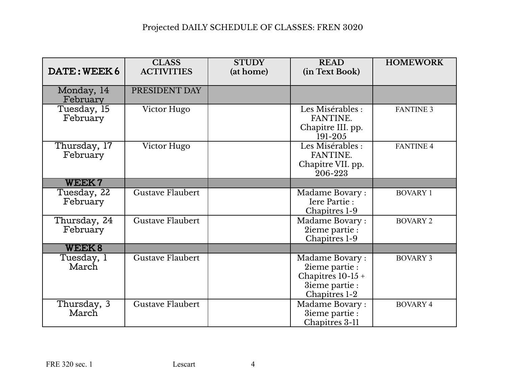| DATE: WEEK6              | <b>CLASS</b><br><b>ACTIVITIES</b> | <b>STUDY</b><br>(at home) | <b>READ</b><br>(in Text Book)                                                             | <b>HOMEWORK</b>  |
|--------------------------|-----------------------------------|---------------------------|-------------------------------------------------------------------------------------------|------------------|
| Monday, 14<br>February   | PRESIDENT DAY                     |                           |                                                                                           |                  |
| Tuesday, 15<br>February  | Victor Hugo                       |                           | Les Misérables :<br>FANTINE.<br>Chapitre III. pp.<br>191-205                              | <b>FANTINE 3</b> |
| Thursday, 17<br>February | Victor Hugo                       |                           | Les Misérables :<br>FANTINE.<br>Chapitre VII. pp.<br>206-223                              | <b>FANTINE 4</b> |
| <b>WEEK7</b>             |                                   |                           |                                                                                           |                  |
| Tuesday, 22<br>February  | <b>Gustave Flaubert</b>           |                           | Madame Bovary:<br>Iere Partie:<br>Chapitres 1-9                                           | <b>BOVARY 1</b>  |
| Thursday, 24<br>February | Gustave Flaubert                  |                           | Madame Bovary:<br>2ieme partie :<br>Chapitres 1-9                                         | <b>BOVARY 2</b>  |
| <b>WEEK8</b>             |                                   |                           |                                                                                           |                  |
| Tuesday, 1<br>March      | <b>Gustave Flaubert</b>           |                           | Madame Bovary:<br>2ieme partie :<br>Chapitres $10-15+$<br>3ieme partie :<br>Chapitres 1-2 | <b>BOVARY 3</b>  |
| Thursday, 3<br>March     | <b>Gustave Flaubert</b>           |                           | Madame Bovary:<br>3ieme partie :<br>Chapitres 3-11                                        | <b>BOVARY 4</b>  |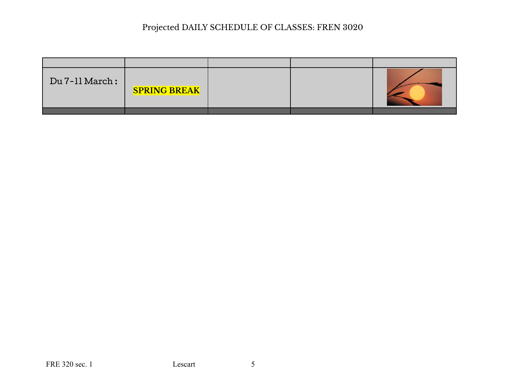| Du 7-11 March: | <b>SPRING BREAK</b> |  |  |
|----------------|---------------------|--|--|
|                |                     |  |  |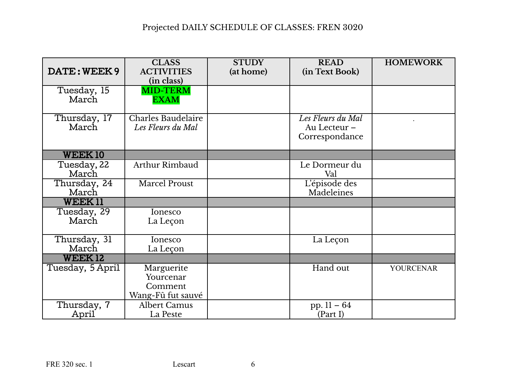| DATE: WEEK 9          | <b>CLASS</b><br><b>ACTIVITIES</b> | <b>STUDY</b><br>(at home) | <b>READ</b><br>(in Text Book)  | <b>HOMEWORK</b>  |
|-----------------------|-----------------------------------|---------------------------|--------------------------------|------------------|
| Tuesday, 15           | (in class)<br><b>MID-TERM</b>     |                           |                                |                  |
| March                 | <b>EXAM</b>                       |                           |                                |                  |
| Thursday, 17          | <b>Charles Baudelaire</b>         |                           | Les Fleurs du Mal              |                  |
| March                 | Les Fleurs du Mal                 |                           | Au Lecteur -<br>Correspondance |                  |
| <b>WEEK10</b>         |                                   |                           |                                |                  |
| Tuesday, 22<br>March  | Arthur Rimbaud                    |                           | Le Dormeur du<br>Val           |                  |
| Thursday, 24<br>March | Marcel Proust                     |                           | L'épisode des<br>Madeleines    |                  |
| <b>WEEK11</b>         |                                   |                           |                                |                  |
| Tuesday, 29           | Ionesco                           |                           |                                |                  |
| March                 | La Leçon                          |                           |                                |                  |
| Thursday, 31          | Ionesco                           |                           | La Leçon                       |                  |
| March                 | La Leçon                          |                           |                                |                  |
| <b>WEEK12</b>         |                                   |                           |                                |                  |
| Tuesday, 5 April      | Marguerite                        |                           | Hand out                       | <b>YOURCENAR</b> |
|                       | Yourcenar                         |                           |                                |                  |
|                       | Comment                           |                           |                                |                  |
|                       | Wang-Fû fut sauvé                 |                           |                                |                  |
| Thursday, 7           | <b>Albert Camus</b>               |                           | pp. $11 - 64$                  |                  |
| April                 | La Peste                          |                           | (Part I)                       |                  |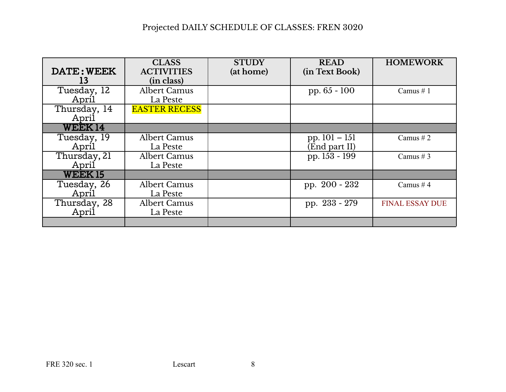|               | <b>CLASS</b>         | <b>STUDY</b> | <b>READ</b>     | <b>HOMEWORK</b>        |
|---------------|----------------------|--------------|-----------------|------------------------|
| DATE: WEEK    | <b>ACTIVITIES</b>    | (at home)    | (in Text Book)  |                        |
| 13            | (in class)           |              |                 |                        |
| Tuesday, 12   | <b>Albert Camus</b>  |              | pp. $65 - 100$  | Camus $# 1$            |
| April         | La Peste             |              |                 |                        |
| Thursday, 14  | <b>EASTER RECESS</b> |              |                 |                        |
| April         |                      |              |                 |                        |
| <b>WEEK14</b> |                      |              |                 |                        |
| Tuesday, 19   | Albert Camus         |              | pp. $101 - 151$ | Camus # $2$            |
| April         | La Peste             |              | (End part II)   |                        |
| Thursday, 21  | Albert Camus         |              | pp. 153 - 199   | Camus $# 3$            |
| April         | La Peste             |              |                 |                        |
| <b>WEEK15</b> |                      |              |                 |                        |
| Tuesday, 26   | Albert Camus         |              | pp. 200 - 232   | Camus #4               |
| April         | La Peste             |              |                 |                        |
| Thursday, 28  | Albert Camus         |              | pp. 233 - 279   | <b>FINAL ESSAY DUE</b> |
| April         | La Peste             |              |                 |                        |
|               |                      |              |                 |                        |